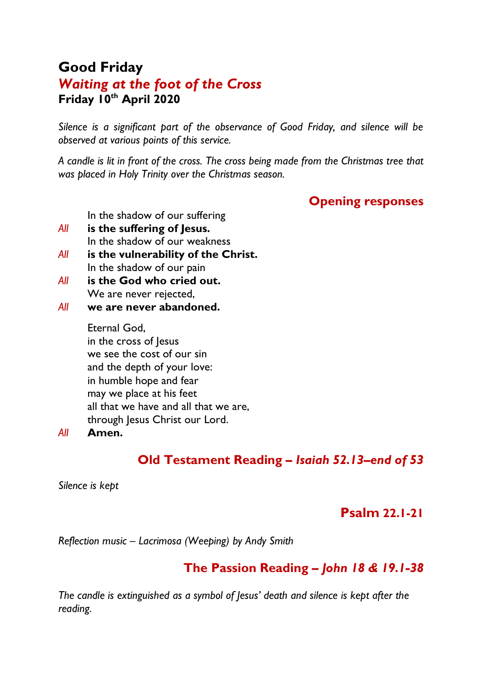# **Good Friday** *Waiting at the foot of the Cross* **Friday 10th April 2020**

*Silence is a significant part of the observance of Good Friday, and silence will be observed at various points of this service.*

*A candle is lit in front of the cross. The cross being made from the Christmas tree that was placed in Holy Trinity over the Christmas season.*

#### **Opening responses**

In the shadow of our suffering

- *All* **is the suffering of Jesus.** In the shadow of our weakness
- *All* **is the vulnerability of the Christ.** In the shadow of our pain
- *All* **is the God who cried out.** We are never rejected,
- *All* **we are never abandoned.**

Eternal God, in the cross of lesus we see the cost of our sin and the depth of your love: in humble hope and fear may we place at his feet all that we have and all that we are, through Jesus Christ our Lord.

#### *All* **Amen.**

## **Old Testament Reading** *– Isaiah 52.13–end of 53*

*Silence is kept*

#### **Psalm 22.1-21**

*Reflection music – Lacrimosa (Weeping) by Andy Smith*

### **The Passion Reading** *– John 18 & 19.1-38*

*The candle is extinguished as a symbol of Jesus' death and silence is kept after the reading.*